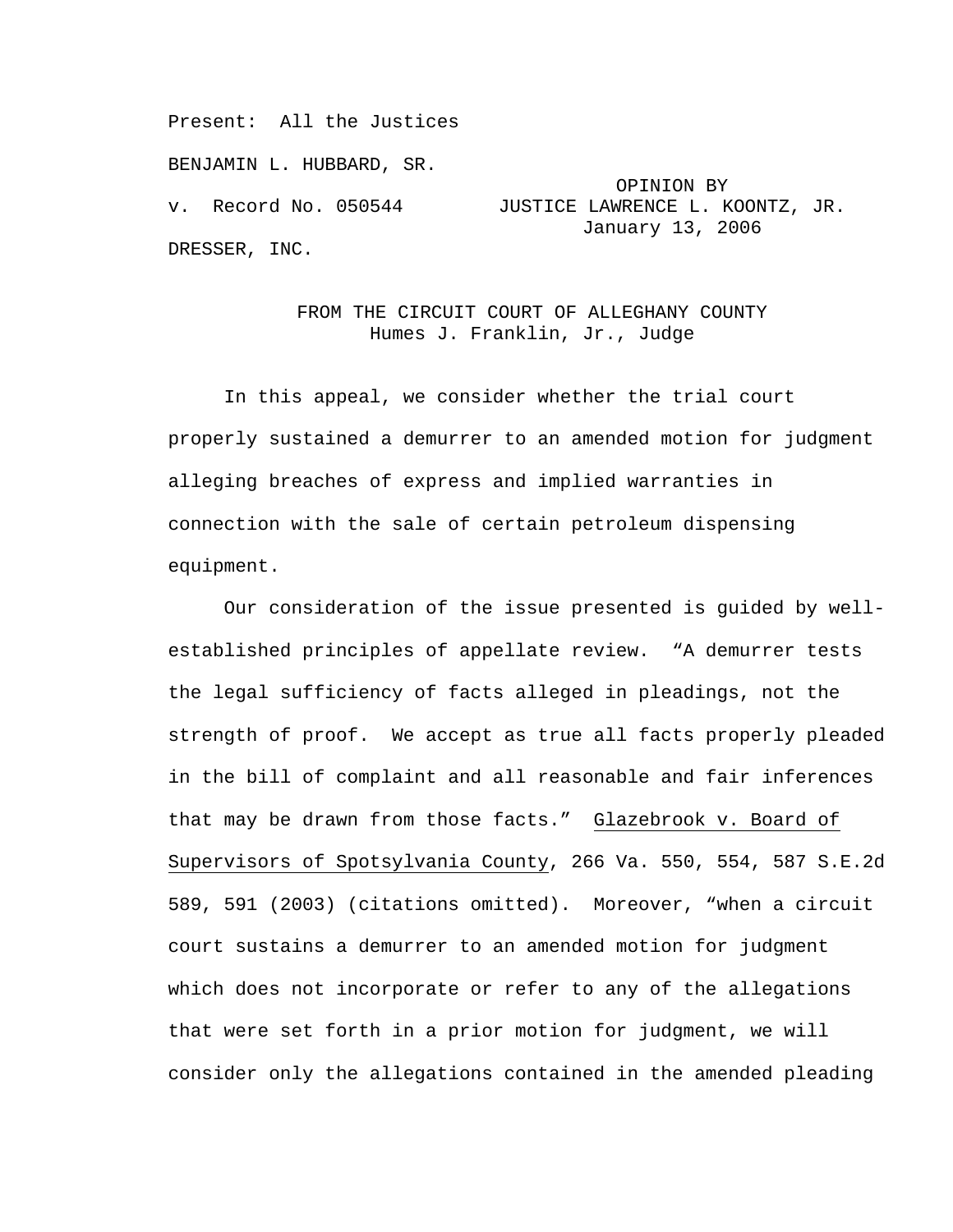Present: All the Justices

BENJAMIN L. HUBBARD, SR.

v. Record No. 050544 JUSTICE LAWRENCE L. KOONTZ, JR. January 13, 2006 DRESSER, INC.

> FROM THE CIRCUIT COURT OF ALLEGHANY COUNTY Humes J. Franklin, Jr., Judge

OPINION BY

In this appeal, we consider whether the trial court properly sustained a demurrer to an amended motion for judgment alleging breaches of express and implied warranties in connection with the sale of certain petroleum dispensing equipment.

Our consideration of the issue presented is guided by wellestablished principles of appellate review. "A demurrer tests the legal sufficiency of facts alleged in pleadings, not the strength of proof. We accept as true all facts properly pleaded in the bill of complaint and all reasonable and fair inferences that may be drawn from those facts." Glazebrook v. Board of Supervisors of Spotsylvania County, 266 Va. 550, 554, 587 S.E.2d 589, 591 (2003) (citations omitted). Moreover, "when a circuit court sustains a demurrer to an amended motion for judgment which does not incorporate or refer to any of the allegations that were set forth in a prior motion for judgment, we will consider only the allegations contained in the amended pleading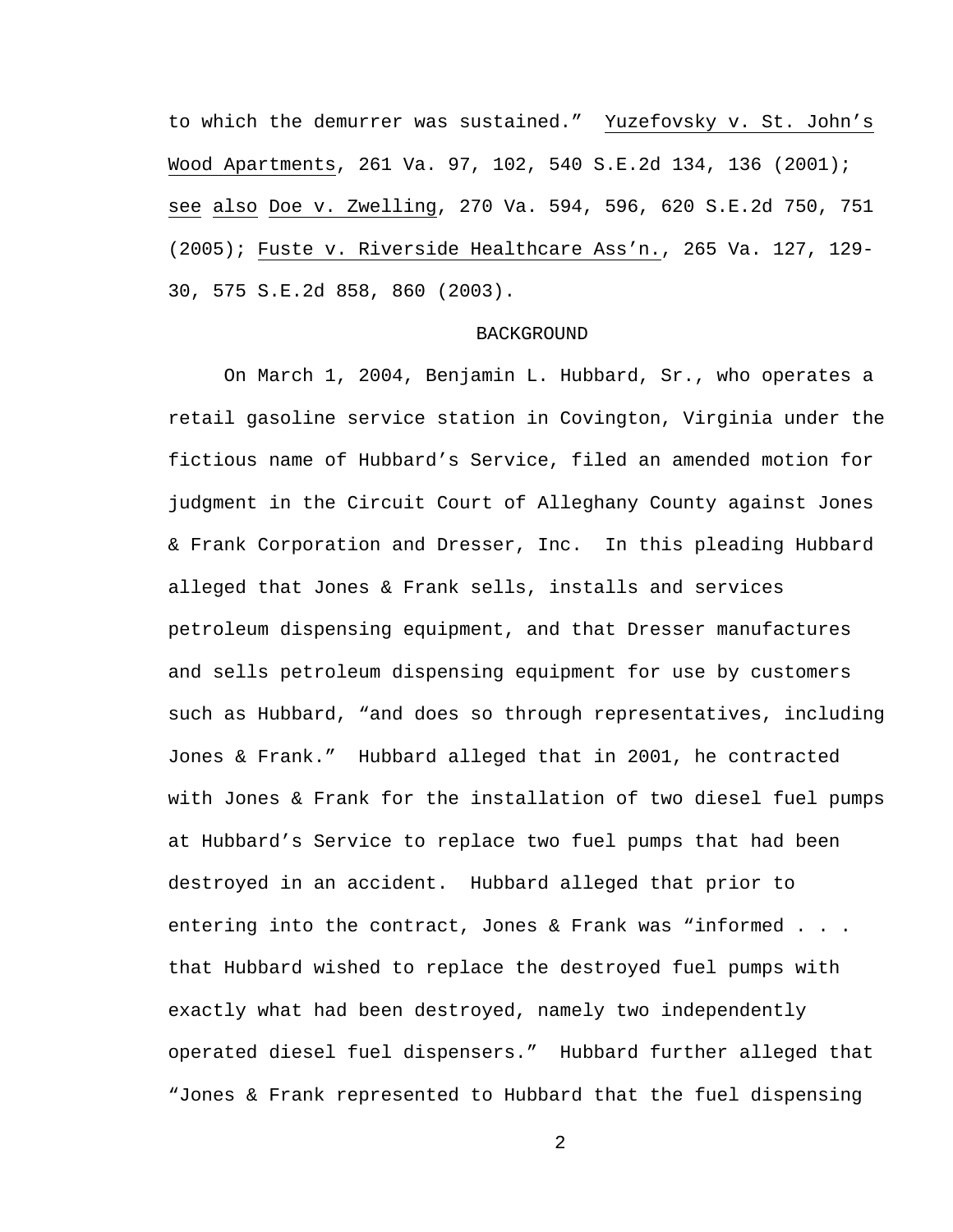to which the demurrer was sustained." Yuzefovsky v. St. John's Wood Apartments, 261 Va. 97, 102, 540 S.E.2d 134, 136 (2001); see also Doe v. Zwelling, 270 Va. 594, 596, 620 S.E.2d 750, 751 (2005); Fuste v. Riverside Healthcare Ass'n., 265 Va. 127, 129- 30, 575 S.E.2d 858, 860 (2003).

## **BACKGROUND**

On March 1, 2004, Benjamin L. Hubbard, Sr., who operates a retail gasoline service station in Covington, Virginia under the fictious name of Hubbard's Service, filed an amended motion for judgment in the Circuit Court of Alleghany County against Jones & Frank Corporation and Dresser, Inc. In this pleading Hubbard alleged that Jones & Frank sells, installs and services petroleum dispensing equipment, and that Dresser manufactures and sells petroleum dispensing equipment for use by customers such as Hubbard, "and does so through representatives, including Jones & Frank." Hubbard alleged that in 2001, he contracted with Jones & Frank for the installation of two diesel fuel pumps at Hubbard's Service to replace two fuel pumps that had been destroyed in an accident. Hubbard alleged that prior to entering into the contract, Jones & Frank was "informed . . . that Hubbard wished to replace the destroyed fuel pumps with exactly what had been destroyed, namely two independently operated diesel fuel dispensers." Hubbard further alleged that "Jones & Frank represented to Hubbard that the fuel dispensing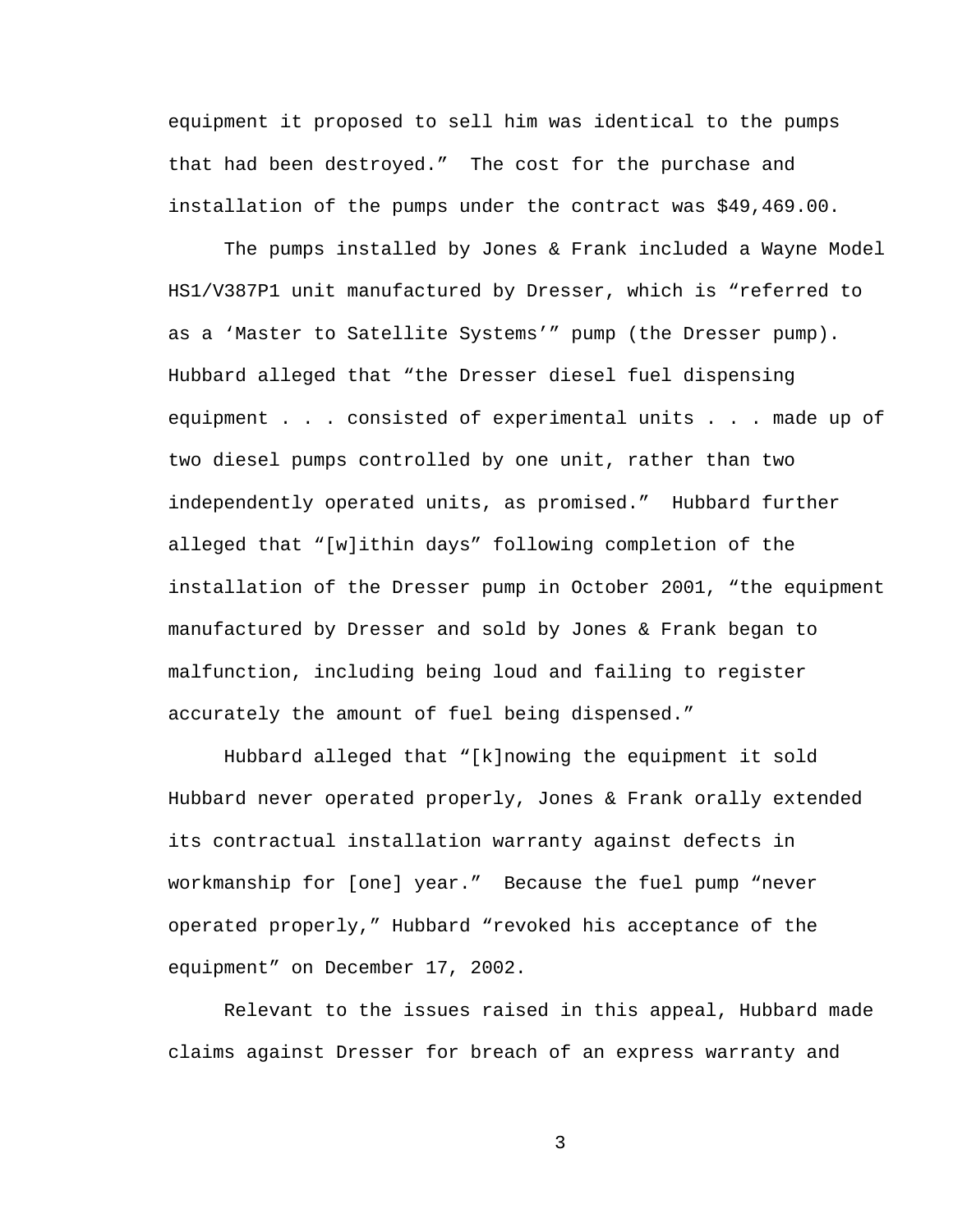equipment it proposed to sell him was identical to the pumps that had been destroyed." The cost for the purchase and installation of the pumps under the contract was \$49,469.00.

The pumps installed by Jones & Frank included a Wayne Model HS1/V387P1 unit manufactured by Dresser, which is "referred to as a 'Master to Satellite Systems'" pump (the Dresser pump). Hubbard alleged that "the Dresser diesel fuel dispensing equipment . . . consisted of experimental units . . . made up of two diesel pumps controlled by one unit, rather than two independently operated units, as promised." Hubbard further alleged that "[w]ithin days" following completion of the installation of the Dresser pump in October 2001, "the equipment manufactured by Dresser and sold by Jones & Frank began to malfunction, including being loud and failing to register accurately the amount of fuel being dispensed."

Hubbard alleged that "[k]nowing the equipment it sold Hubbard never operated properly, Jones & Frank orally extended its contractual installation warranty against defects in workmanship for [one] year." Because the fuel pump "never operated properly," Hubbard "revoked his acceptance of the equipment" on December 17, 2002.

Relevant to the issues raised in this appeal, Hubbard made claims against Dresser for breach of an express warranty and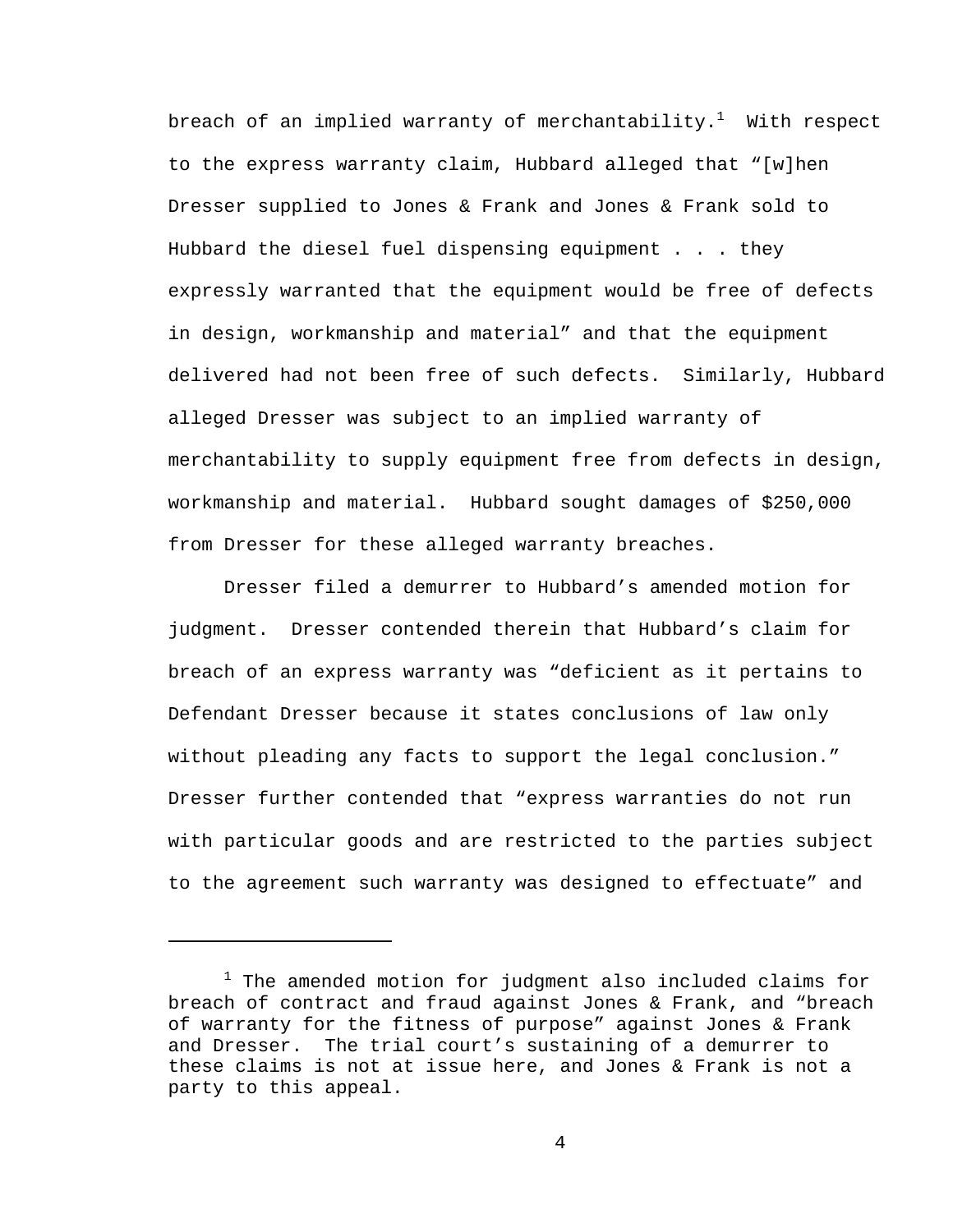breach of an implied warranty of merchantability. $^1$  With respect to the express warranty claim, Hubbard alleged that "[w]hen Dresser supplied to Jones & Frank and Jones & Frank sold to Hubbard the diesel fuel dispensing equipment . . . they expressly warranted that the equipment would be free of defects in design, workmanship and material" and that the equipment delivered had not been free of such defects. Similarly, Hubbard alleged Dresser was subject to an implied warranty of merchantability to supply equipment free from defects in design, workmanship and material. Hubbard sought damages of \$250,000 from Dresser for these alleged warranty breaches.

Dresser filed a demurrer to Hubbard's amended motion for judgment. Dresser contended therein that Hubbard's claim for breach of an express warranty was "deficient as it pertains to Defendant Dresser because it states conclusions of law only without pleading any facts to support the legal conclusion." Dresser further contended that "express warranties do not run with particular goods and are restricted to the parties subject to the agreement such warranty was designed to effectuate" and

i

 $^1$  The amended motion for judgment also included claims for breach of contract and fraud against Jones & Frank, and "breach of warranty for the fitness of purpose" against Jones & Frank and Dresser. The trial court's sustaining of a demurrer to these claims is not at issue here, and Jones & Frank is not a party to this appeal.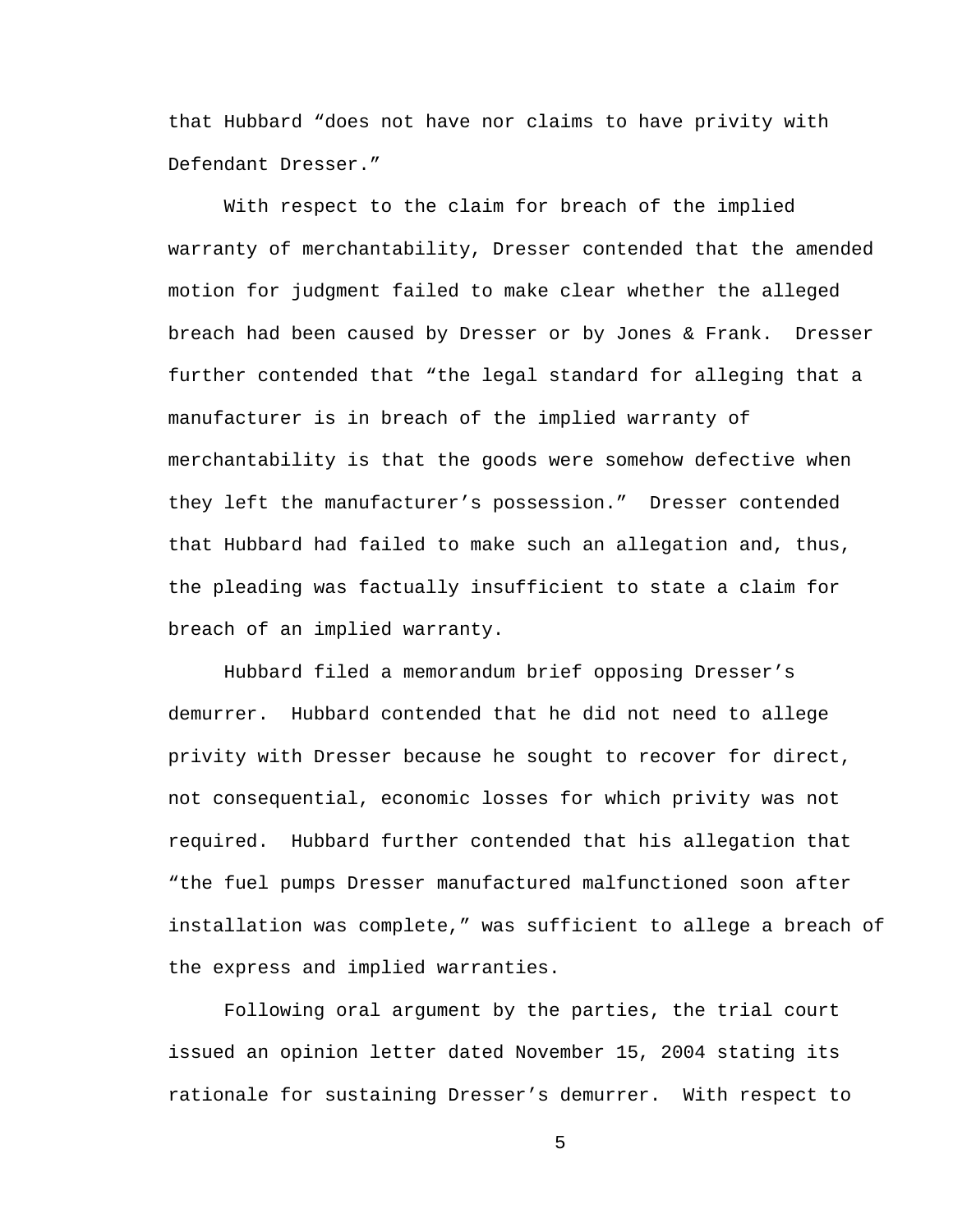that Hubbard "does not have nor claims to have privity with Defendant Dresser."

With respect to the claim for breach of the implied warranty of merchantability, Dresser contended that the amended motion for judgment failed to make clear whether the alleged breach had been caused by Dresser or by Jones & Frank. Dresser further contended that "the legal standard for alleging that a manufacturer is in breach of the implied warranty of merchantability is that the goods were somehow defective when they left the manufacturer's possession." Dresser contended that Hubbard had failed to make such an allegation and, thus, the pleading was factually insufficient to state a claim for breach of an implied warranty.

Hubbard filed a memorandum brief opposing Dresser's demurrer. Hubbard contended that he did not need to allege privity with Dresser because he sought to recover for direct, not consequential, economic losses for which privity was not required. Hubbard further contended that his allegation that "the fuel pumps Dresser manufactured malfunctioned soon after installation was complete," was sufficient to allege a breach of the express and implied warranties.

Following oral argument by the parties, the trial court issued an opinion letter dated November 15, 2004 stating its rationale for sustaining Dresser's demurrer. With respect to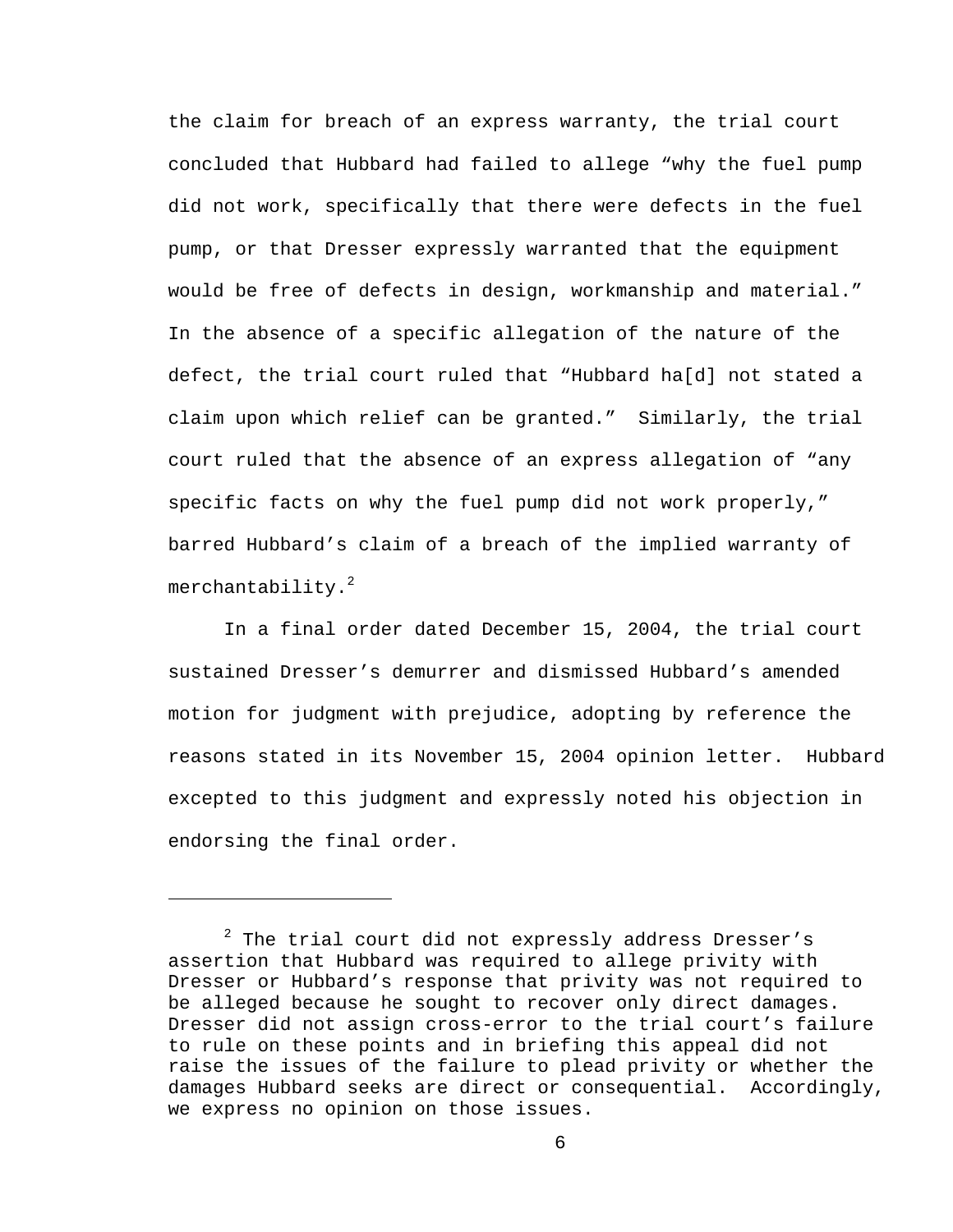the claim for breach of an express warranty, the trial court concluded that Hubbard had failed to allege "why the fuel pump did not work, specifically that there were defects in the fuel pump, or that Dresser expressly warranted that the equipment would be free of defects in design, workmanship and material." In the absence of a specific allegation of the nature of the defect, the trial court ruled that "Hubbard ha[d] not stated a claim upon which relief can be granted." Similarly, the trial court ruled that the absence of an express allegation of "any specific facts on why the fuel pump did not work properly," barred Hubbard's claim of a breach of the implied warranty of merchantability.<sup>2</sup>

In a final order dated December 15, 2004, the trial court sustained Dresser's demurrer and dismissed Hubbard's amended motion for judgment with prejudice, adopting by reference the reasons stated in its November 15, 2004 opinion letter. Hubbard excepted to this judgment and expressly noted his objection in endorsing the final order.

i<br>Li

 $^2$  The trial court did not expressly address Dresser's assertion that Hubbard was required to allege privity with Dresser or Hubbard's response that privity was not required to be alleged because he sought to recover only direct damages. Dresser did not assign cross-error to the trial court's failure to rule on these points and in briefing this appeal did not raise the issues of the failure to plead privity or whether the damages Hubbard seeks are direct or consequential. Accordingly, we express no opinion on those issues.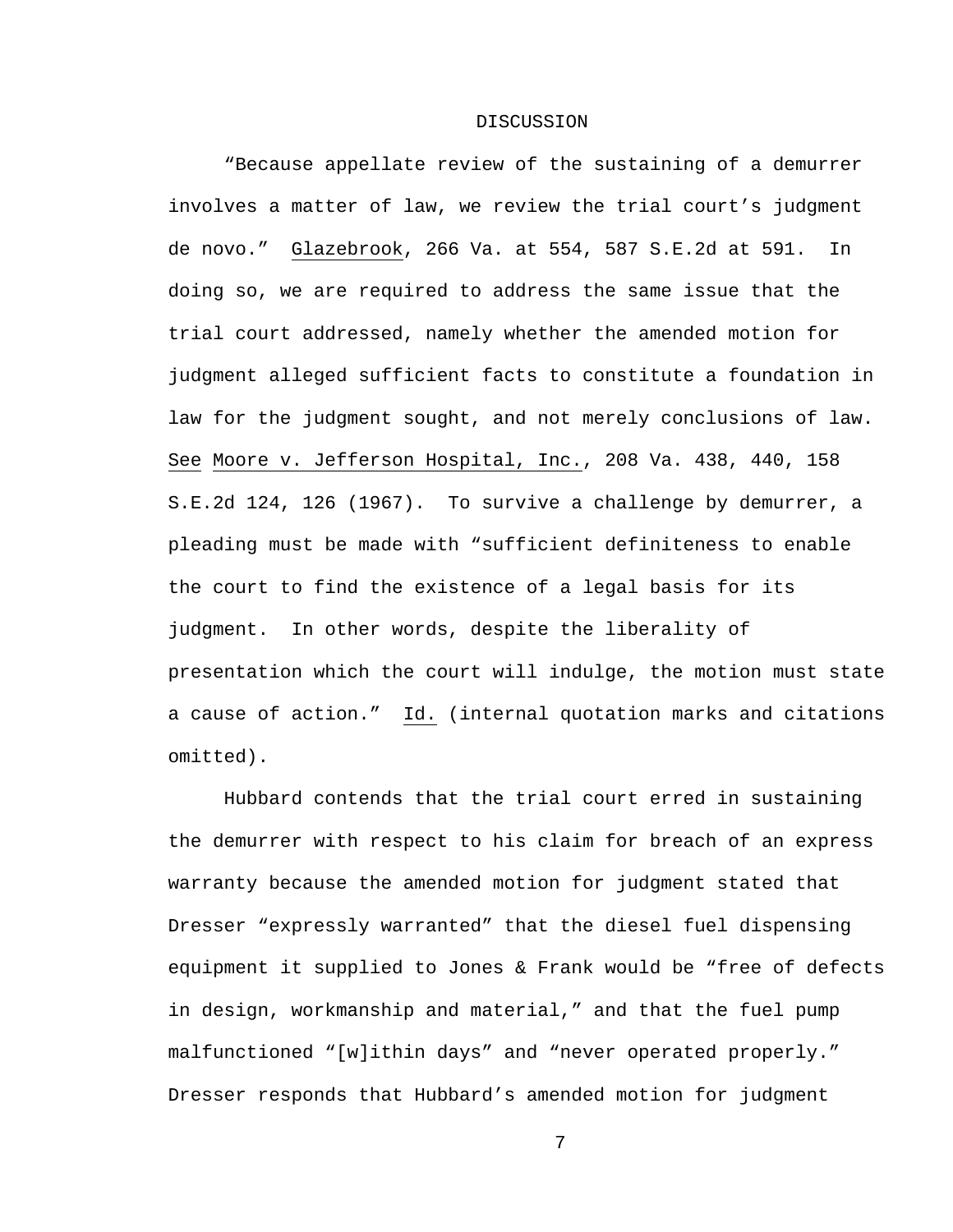## DISCUSSION

"Because appellate review of the sustaining of a demurrer involves a matter of law, we review the trial court's judgment de novo." Glazebrook, 266 Va. at 554, 587 S.E.2d at 591. In doing so, we are required to address the same issue that the trial court addressed, namely whether the amended motion for judgment alleged sufficient facts to constitute a foundation in law for the judgment sought, and not merely conclusions of law. See Moore v. Jefferson Hospital, Inc., 208 Va. 438, 440, 158 S.E.2d 124, 126 (1967). To survive a challenge by demurrer, a pleading must be made with "sufficient definiteness to enable the court to find the existence of a legal basis for its judgment. In other words, despite the liberality of presentation which the court will indulge, the motion must state a cause of action." Id. (internal quotation marks and citations omitted).

Hubbard contends that the trial court erred in sustaining the demurrer with respect to his claim for breach of an express warranty because the amended motion for judgment stated that Dresser "expressly warranted" that the diesel fuel dispensing equipment it supplied to Jones & Frank would be "free of defects in design, workmanship and material," and that the fuel pump malfunctioned "[w]ithin days" and "never operated properly." Dresser responds that Hubbard's amended motion for judgment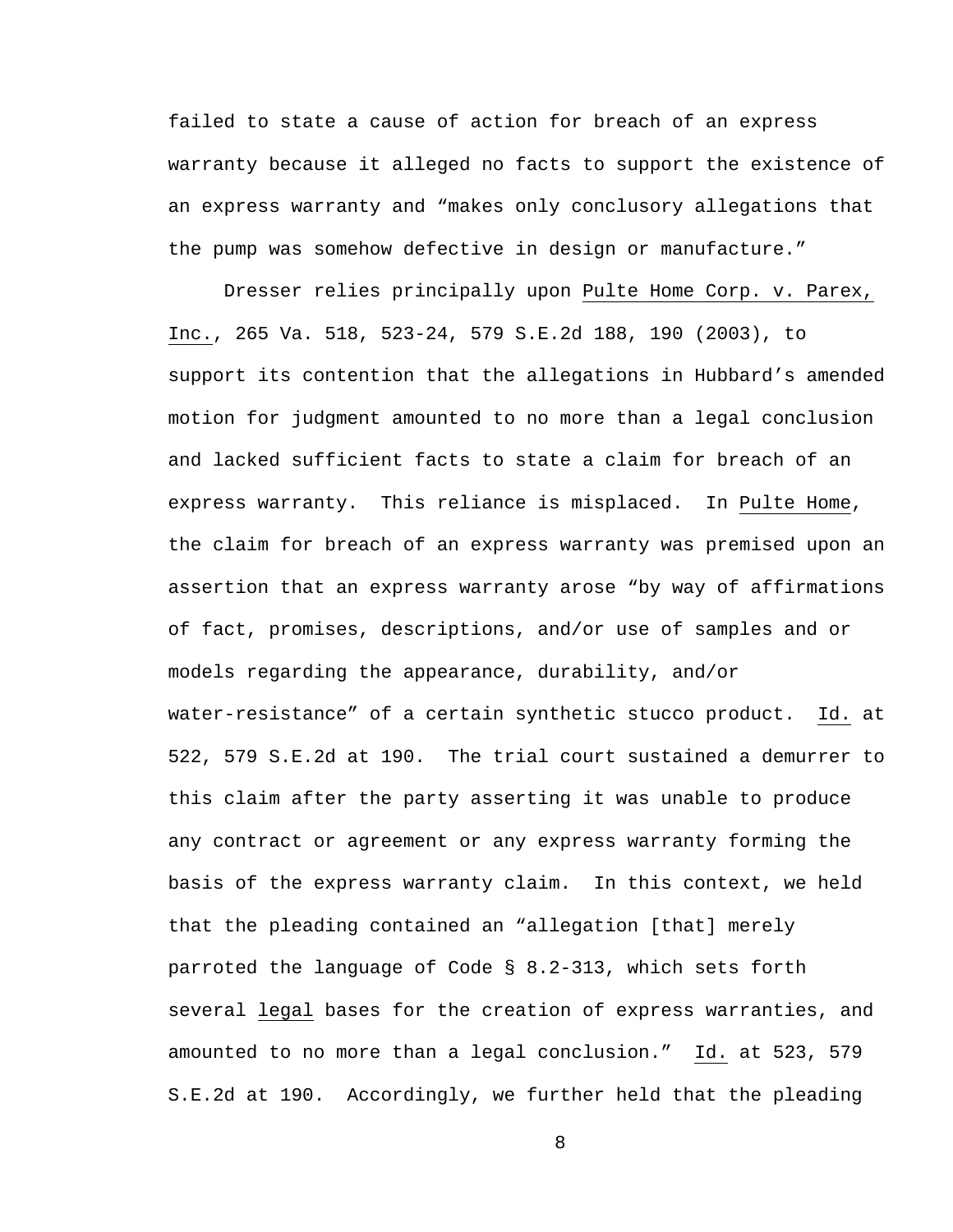failed to state a cause of action for breach of an express warranty because it alleged no facts to support the existence of an express warranty and "makes only conclusory allegations that the pump was somehow defective in design or manufacture."

Dresser relies principally upon Pulte Home Corp. v. Parex, Inc., 265 Va. 518, 523-24, 579 S.E.2d 188, 190 (2003), to support its contention that the allegations in Hubbard's amended motion for judgment amounted to no more than a legal conclusion and lacked sufficient facts to state a claim for breach of an express warranty. This reliance is misplaced. In Pulte Home, the claim for breach of an express warranty was premised upon an assertion that an express warranty arose "by way of affirmations of fact, promises, descriptions, and/or use of samples and or models regarding the appearance, durability, and/or water-resistance" of a certain synthetic stucco product. Id. at 522, 579 S.E.2d at 190. The trial court sustained a demurrer to this claim after the party asserting it was unable to produce any contract or agreement or any express warranty forming the basis of the express warranty claim. In this context, we held that the pleading contained an "allegation [that] merely parroted the language of Code § 8.2-313, which sets forth several legal bases for the creation of express warranties, and amounted to no more than a legal conclusion." Id. at 523, 579 S.E.2d at 190. Accordingly, we further held that the pleading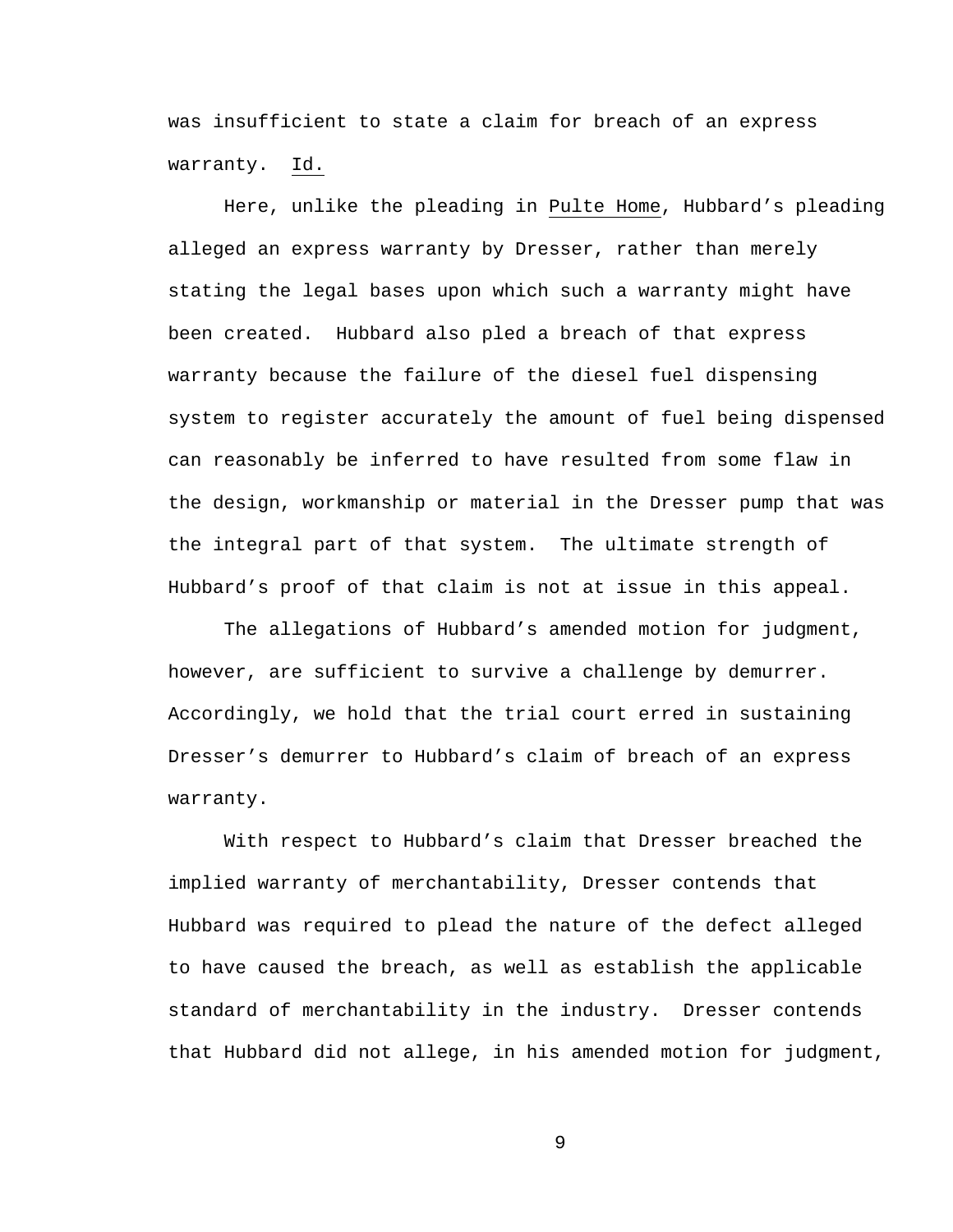was insufficient to state a claim for breach of an express warranty. Id.

Here, unlike the pleading in Pulte Home, Hubbard's pleading alleged an express warranty by Dresser, rather than merely stating the legal bases upon which such a warranty might have been created. Hubbard also pled a breach of that express warranty because the failure of the diesel fuel dispensing system to register accurately the amount of fuel being dispensed can reasonably be inferred to have resulted from some flaw in the design, workmanship or material in the Dresser pump that was the integral part of that system. The ultimate strength of Hubbard's proof of that claim is not at issue in this appeal.

The allegations of Hubbard's amended motion for judgment, however, are sufficient to survive a challenge by demurrer. Accordingly, we hold that the trial court erred in sustaining Dresser's demurrer to Hubbard's claim of breach of an express warranty.

With respect to Hubbard's claim that Dresser breached the implied warranty of merchantability, Dresser contends that Hubbard was required to plead the nature of the defect alleged to have caused the breach, as well as establish the applicable standard of merchantability in the industry. Dresser contends that Hubbard did not allege, in his amended motion for judgment,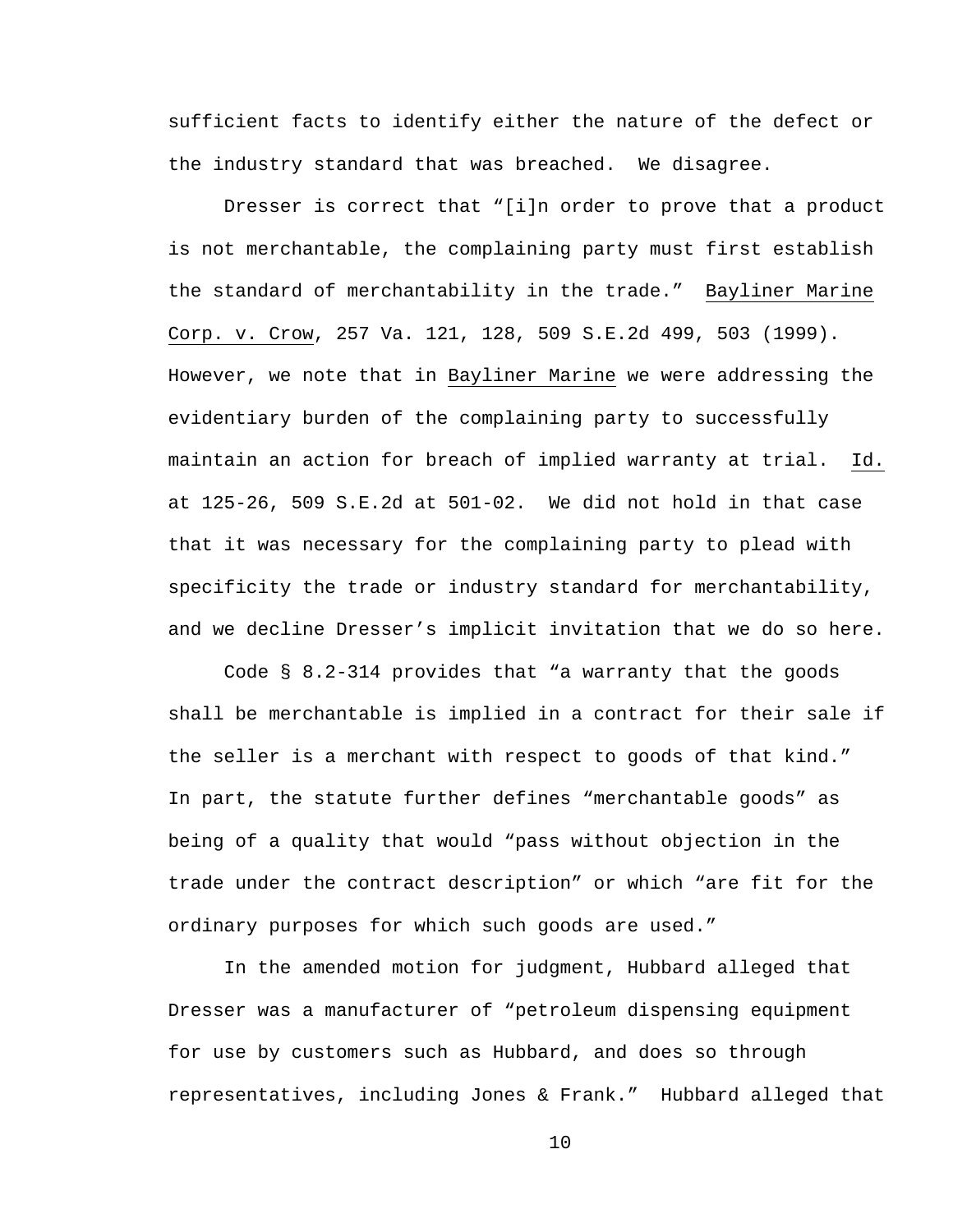sufficient facts to identify either the nature of the defect or the industry standard that was breached. We disagree.

Dresser is correct that "[i]n order to prove that a product is not merchantable, the complaining party must first establish the standard of merchantability in the trade." Bayliner Marine Corp. v. Crow, 257 Va. 121, 128, 509 S.E.2d 499, 503 (1999). However, we note that in Bayliner Marine we were addressing the evidentiary burden of the complaining party to successfully maintain an action for breach of implied warranty at trial. Id. at 125-26, 509 S.E.2d at 501-02. We did not hold in that case that it was necessary for the complaining party to plead with specificity the trade or industry standard for merchantability, and we decline Dresser's implicit invitation that we do so here.

Code § 8.2-314 provides that "a warranty that the goods shall be merchantable is implied in a contract for their sale if the seller is a merchant with respect to goods of that kind." In part, the statute further defines "merchantable goods" as being of a quality that would "pass without objection in the trade under the contract description" or which "are fit for the ordinary purposes for which such goods are used."

In the amended motion for judgment, Hubbard alleged that Dresser was a manufacturer of "petroleum dispensing equipment for use by customers such as Hubbard, and does so through representatives, including Jones & Frank." Hubbard alleged that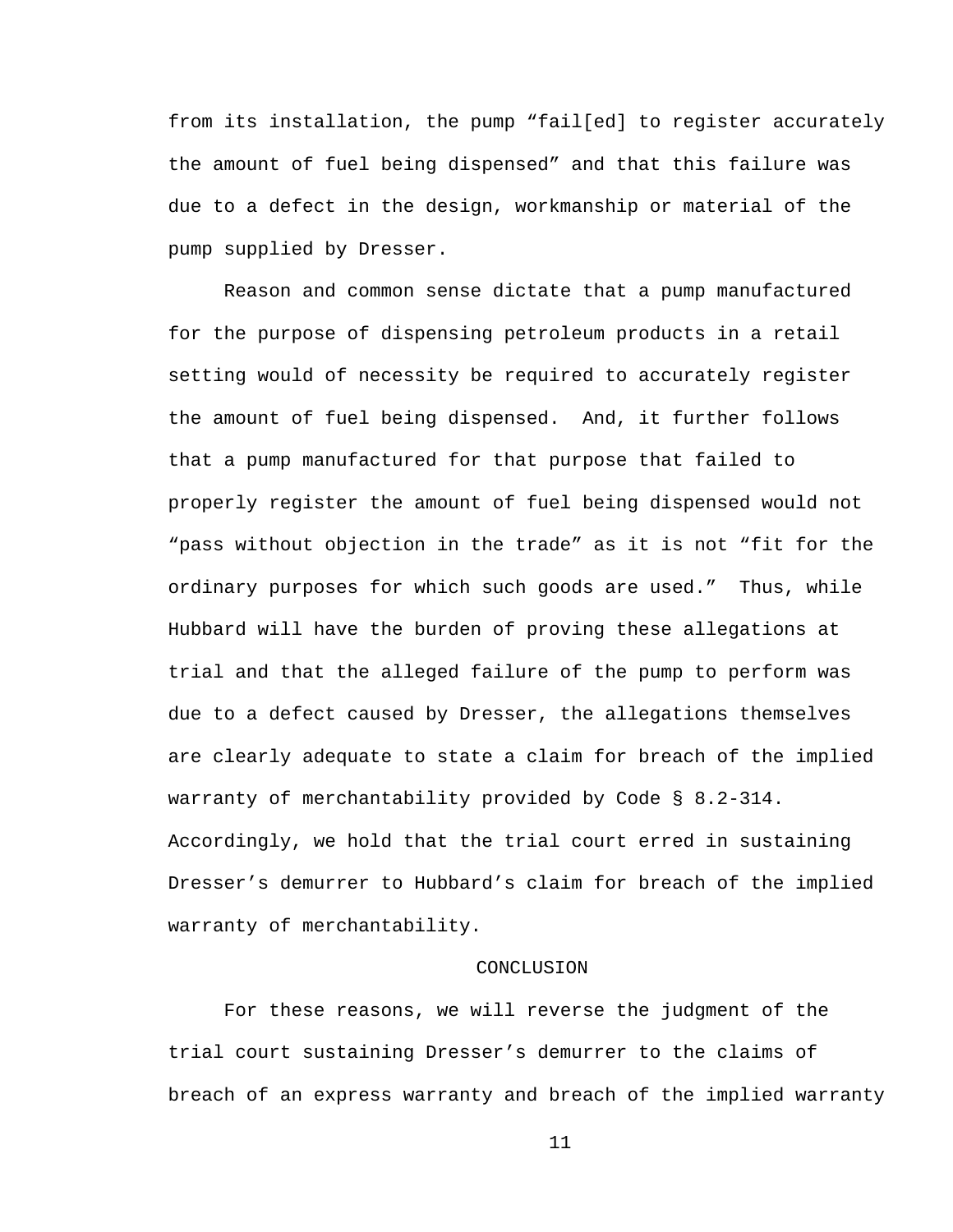from its installation, the pump "fail[ed] to register accurately the amount of fuel being dispensed" and that this failure was due to a defect in the design, workmanship or material of the pump supplied by Dresser.

Reason and common sense dictate that a pump manufactured for the purpose of dispensing petroleum products in a retail setting would of necessity be required to accurately register the amount of fuel being dispensed. And, it further follows that a pump manufactured for that purpose that failed to properly register the amount of fuel being dispensed would not "pass without objection in the trade" as it is not "fit for the ordinary purposes for which such goods are used." Thus, while Hubbard will have the burden of proving these allegations at trial and that the alleged failure of the pump to perform was due to a defect caused by Dresser, the allegations themselves are clearly adequate to state a claim for breach of the implied warranty of merchantability provided by Code § 8.2-314. Accordingly, we hold that the trial court erred in sustaining Dresser's demurrer to Hubbard's claim for breach of the implied warranty of merchantability.

## CONCLUSION

For these reasons, we will reverse the judgment of the trial court sustaining Dresser's demurrer to the claims of breach of an express warranty and breach of the implied warranty